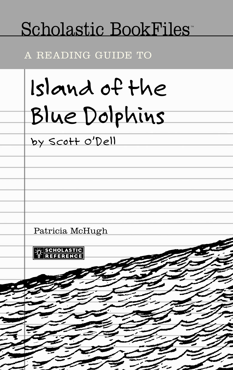# Scholastic BookFiles<sup>-</sup>

A READING GUIDE TO

*Island of the Blue Dolphins by Scott O'Dell* Patricia McHugh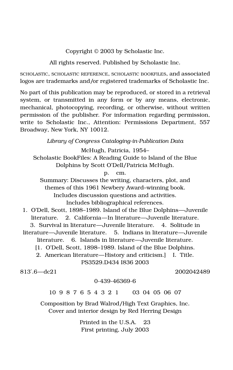Copyright © 2003 by Scholastic Inc.

All rights reserved. Published by Scholastic Inc.

SCHOLASTIC, SCHOLASTIC REFERENCE, SCHOLASTIC BOOKFILES, and associated logos are trademarks and/or registered trademarks of Scholastic Inc.

No part of this publication may be reproduced, or stored in a retrieval system, or transmitted in any form or by any means, electronic, mechanical, photocopying, recording, or otherwise, without written permission of the publisher. For information regarding permission, write to Scholastic Inc., Attention: Permissions Department, 557 Broadway, New York, NY 10012.

*Library of Congress Cataloging-in-Publication Data*

McHugh, Patricia, 1954–

Scholastic BookFiles: A Reading Guide to Island of the Blue Dolphins by Scott O'Dell/Patricia McHugh.

p. cm.

Summary: Discusses the writing, characters, plot, and themes of this 1961 Newbery Award–winning book. Includes discussion questions and activities. Includes bibliographical references.

1. O'Dell, Scott, 1898–1989. Island of the Blue Dolphins—Juvenile literature. 2. California—In literature—Juvenile literature. 3. Survival in literature—Juvenile literature. 4. Solitude in literature—Juvenile literature. 5. Indians in literature—Juvenile literature. 6. Islands in literature—Juvenile literature.

[1. O'Dell, Scott, 1898–1989. Island of the Blue Dolphins.

2. American literature—History and criticism.] I. Title. PS3529.D434 I836 2003

813′.6—dc21 2002042489

#### 0-439-46369-6

10 9 8 7 6 5 4 3 2 1 03 04 05 06 07

Composition by Brad Walrod/High Text Graphics, Inc. Cover and interior design by Red Herring Design

> Printed in the U.S.A. 23 First printing, July 2003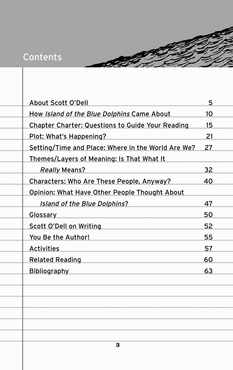## Contents

| <b>About Scott O'Dell</b>                               | 5               |  |
|---------------------------------------------------------|-----------------|--|
| How Island of the Blue Dolphins Came About              | 10 <sup>1</sup> |  |
| <b>Chapter Charter: Questions to Guide Your Reading</b> | 15              |  |
| Plot: What's Happening?                                 | 21              |  |
| Setting/Time and Place: Where in the World Are We?      | 27              |  |
| Themes/Layers of Meaning: Is That What It               |                 |  |
| <b>Really Means?</b>                                    | 32              |  |
| Characters: Who Are These People, Anyway?               | 40              |  |
| Opinion: What Have Other People Thought About           |                 |  |
| <b>Island of the Blue Dolphins?</b>                     | 47              |  |
| Glossary                                                | 50              |  |
| Scott O'Dell on Writing                                 | 52              |  |
| You Be the Author!                                      | 55              |  |
| <b>Activities</b>                                       | 57              |  |
| <b>Related Reading</b>                                  | 60              |  |
| <b>Bibliography</b>                                     | 63              |  |
|                                                         |                 |  |
|                                                         |                 |  |
|                                                         |                 |  |
|                                                         |                 |  |
|                                                         |                 |  |
|                                                         |                 |  |
| 3                                                       |                 |  |
|                                                         |                 |  |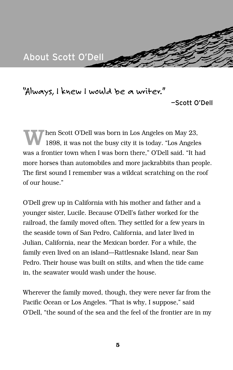

*"Always, I knew I would be a writer."*

—Scott O'Dell

When Scott O'Dell was born in Los Angeles on May 23, 1898, it was not the busy city it is today. "Los Angeles was a frontier town when I was born there," O'Dell said. "It had more horses than automobiles and more jackrabbits than people. The first sound I remember was a wildcat scratching on the roof of our house."

O'Dell grew up in California with his mother and father and a younger sister, Lucile. Because O'Dell's father worked for the railroad, the family moved often. They settled for a few years in the seaside town of San Pedro, California, and later lived in Julian, California, near the Mexican border. For a while, the family even lived on an island—Rattlesnake Island, near San Pedro. Their house was built on stilts, and when the tide came in, the seawater would wash under the house.

Wherever the family moved, though, they were never far from the Pacific Ocean or Los Angeles. "That is why, I suppose," said O'Dell, "the sound of the sea and the feel of the frontier are in my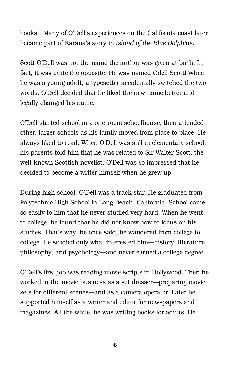books." Many of O'Dell's experiences on the California coast later became part of Karana's story in *Island of the Blue Dolphins*.

Scott O'Dell was not the name the author was given at birth. In fact, it was quite the opposite: He was named Odell Scott! When he was a young adult, a typesetter accidentally switched the two words. O'Dell decided that he liked the new name better and legally changed his name.

O'Dell started school in a one-room schoolhouse, then attended other, larger schools as his family moved from place to place. He always liked to read. When O'Dell was still in elementary school, his parents told him that he was related to Sir Walter Scott, the well-known Scottish novelist. O'Dell was so impressed that he decided to become a writer himself when he grew up.

During high school, O'Dell was a track star. He graduated from Polytechnic High School in Long Beach, California. School came so easily to him that he never studied very hard. When he went to college, he found that he did not know how to focus on his studies. That's why, he once said, he wandered from college to college. He studied only what interested him—history, literature, philosophy, and psychology—and never earned a college degree.

O'Dell's first job was reading movie scripts in Hollywood. Then he worked in the movie business as a set dresser—preparing movie sets for different scenes—and as a camera operator. Later he supported himself as a writer and editor for newspapers and magazines. All the while, he was writing books for adults. He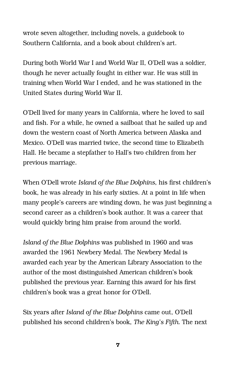wrote seven altogether, including novels, a guidebook to Southern California, and a book about children's art.

During both World War I and World War II, O'Dell was a soldier, though he never actually fought in either war. He was still in training when World War I ended, and he was stationed in the United States during World War II.

O'Dell lived for many years in California, where he loved to sail and fish. For a while, he owned a sailboat that he sailed up and down the western coast of North America between Alaska and Mexico. O'Dell was married twice, the second time to Elizabeth Hall. He became a stepfather to Hall's two children from her previous marriage.

When O'Dell wrote *Island of the Blue Dolphins*, his first children's book, he was already in his early sixties. At a point in life when many people's careers are winding down, he was just beginning a second career as a children's book author. It was a career that would quickly bring him praise from around the world.

*Island of the Blue Dolphins* was published in 1960 and was awarded the 1961 Newbery Medal. The Newbery Medal is awarded each year by the American Library Association to the author of the most distinguished American children's book published the previous year. Earning this award for his first children's book was a great honor for O'Dell.

Six years after *Island of the Blue Dolphins* came out, O'Dell published his second children's book, *The King's Fifth*. The next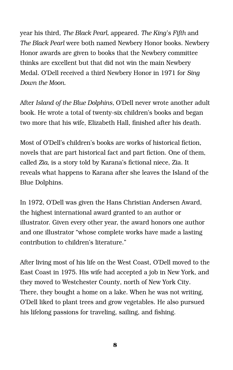year his third, *The Black Pearl,* appeared. *The King's Fifth* and *The Black Pearl* were both named Newbery Honor books. Newbery Honor awards are given to books that the Newbery committee thinks are excellent but that did not win the main Newbery Medal. O'Dell received a third Newbery Honor in 1971 for *Sing Down the Moon.*

After *Island of the Blue Dolphins,* O'Dell never wrote another adult book. He wrote a total of twenty-six children's books and began two more that his wife, Elizabeth Hall, finished after his death.

Most of O'Dell's children's books are works of historical fiction, novels that are part historical fact and part fiction. One of them, called *Zia,* is a story told by Karana's fictional niece, Zia. It reveals what happens to Karana after she leaves the Island of the Blue Dolphins.

In 1972, O'Dell was given the Hans Christian Andersen Award, the highest international award granted to an author or illustrator. Given every other year, the award honors one author and one illustrator "whose complete works have made a lasting contribution to children's literature."

After living most of his life on the West Coast, O'Dell moved to the East Coast in 1975. His wife had accepted a job in New York, and they moved to Westchester County, north of New York City. There, they bought a home on a lake. When he was not writing, O'Dell liked to plant trees and grow vegetables. He also pursued his lifelong passions for traveling, sailing, and fishing.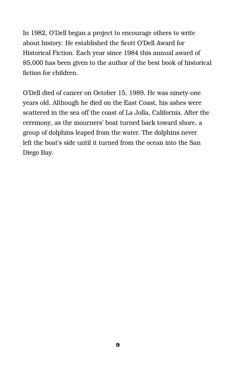In 1982, O'Dell began a project to encourage others to write about history. He established the Scott O'Dell Award for Historical Fiction. Each year since 1984 this annual award of \$5,000 has been given to the author of the best book of historical fiction for children.

O'Dell died of cancer on October 15, 1989. He was ninety-one years old. Although he died on the East Coast, his ashes were scattered in the sea off the coast of La Jolla, California. After the ceremony, as the mourners' boat turned back toward shore, a group of dolphins leaped from the water. The dolphins never left the boat's side until it turned from the ocean into the San Diego Bay.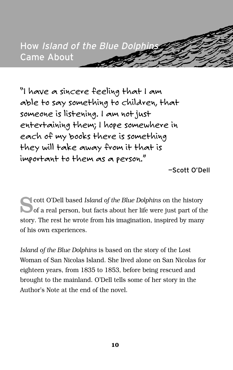

*"I have a sincere feeling that I am able to say something to children, that someone is listening. I am not just entertaining them; I hope somewhere in each of my books there is something they will take away from it that is important to them as a person."*

—Scott O'Dell

**Solution** Cott O'Dell based *Island of the Blue Dolphins* on the history of a real person, but facts about her life were just part of the story. The rest he wrote from his imagination, inspired by many of his own experiences.

*Island of the Blue Dolphins* is based on the story of the Lost Woman of San Nicolas Island. She lived alone on San Nicolas for eighteen years, from 1835 to 1853, before being rescued and brought to the mainland. O'Dell tells some of her story in the Author's Note at the end of the novel.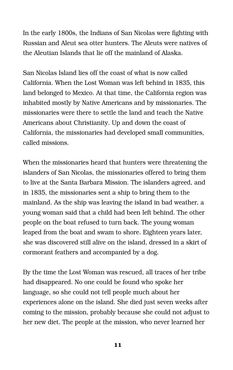In the early 1800s, the Indians of San Nicolas were fighting with Russian and Aleut sea otter hunters. The Aleuts were natives of the Aleutian Islands that lie off the mainland of Alaska.

San Nicolas Island lies off the coast of what is now called California. When the Lost Woman was left behind in 1835, this land belonged to Mexico. At that time, the California region was inhabited mostly by Native Americans and by missionaries. The missionaries were there to settle the land and teach the Native Americans about Christianity. Up and down the coast of California, the missionaries had developed small communities, called missions.

When the missionaries heard that hunters were threatening the islanders of San Nicolas, the missionaries offered to bring them to live at the Santa Barbara Mission. The islanders agreed, and in 1835, the missionaries sent a ship to bring them to the mainland. As the ship was leaving the island in bad weather, a young woman said that a child had been left behind. The other people on the boat refused to turn back. The young woman leaped from the boat and swam to shore. Eighteen years later, she was discovered still alive on the island, dressed in a skirt of cormorant feathers and accompanied by a dog.

By the time the Lost Woman was rescued, all traces of her tribe had disappeared. No one could be found who spoke her language, so she could not tell people much about her experiences alone on the island. She died just seven weeks after coming to the mission, probably because she could not adjust to her new diet. The people at the mission, who never learned her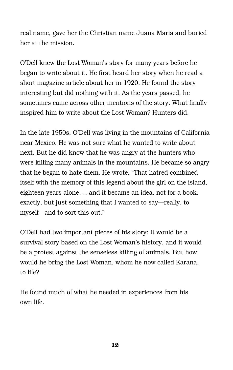real name, gave her the Christian name Juana Maria and buried her at the mission.

O'Dell knew the Lost Woman's story for many years before he began to write about it. He first heard her story when he read a short magazine article about her in 1920. He found the story interesting but did nothing with it. As the years passed, he sometimes came across other mentions of the story. What finally inspired him to write about the Lost Woman? Hunters did.

In the late 1950s, O'Dell was living in the mountains of California near Mexico. He was not sure what he wanted to write about next. But he did know that he was angry at the hunters who were killing many animals in the mountains. He became so angry that he began to hate them. He wrote, "That hatred combined itself with the memory of this legend about the girl on the island, eighteen years alone... and it became an idea, not for a book, exactly, but just something that I wanted to say—really, to myself—and to sort this out."

O'Dell had two important pieces of his story: It would be a survival story based on the Lost Woman's history, and it would be a protest against the senseless killing of animals. But how would he bring the Lost Woman, whom he now called Karana, to life?

He found much of what he needed in experiences from his own life.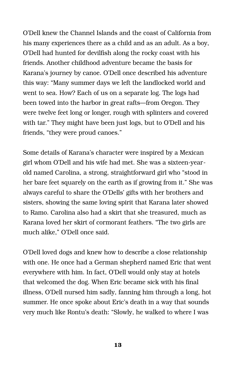O'Dell knew the Channel Islands and the coast of California from his many experiences there as a child and as an adult. As a boy, O'Dell had hunted for devilfish along the rocky coast with his friends. Another childhood adventure became the basis for Karana's journey by canoe. O'Dell once described his adventure this way: "Many summer days we left the landlocked world and went to sea. How? Each of us on a separate log. The logs had been towed into the harbor in great rafts—from Oregon. They were twelve feet long or longer, rough with splinters and covered with tar." They might have been just logs, but to O'Dell and his friends, "they were proud canoes."

Some details of Karana's character were inspired by a Mexican girl whom O'Dell and his wife had met. She was a sixteen-yearold named Carolina, a strong, straightforward girl who "stood in her bare feet squarely on the earth as if growing from it." She was always careful to share the O'Dells' gifts with her brothers and sisters, showing the same loving spirit that Karana later showed to Ramo. Carolina also had a skirt that she treasured, much as Karana loved her skirt of cormorant feathers. "The two girls are much alike," O'Dell once said.

O'Dell loved dogs and knew how to describe a close relationship with one. He once had a German shepherd named Eric that went everywhere with him. In fact, O'Dell would only stay at hotels that welcomed the dog. When Eric became sick with his final illness, O'Dell nursed him sadly, fanning him through a long, hot summer. He once spoke about Eric's death in a way that sounds very much like Rontu's death: "Slowly, he walked to where I was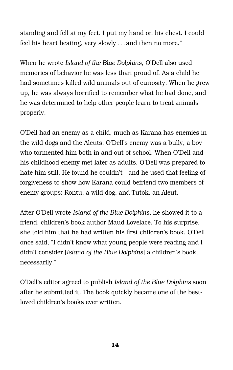standing and fell at my feet. I put my hand on his chest. I could feel his heart beating, very slowly... and then no more."

When he wrote *Island of the Blue Dolphins*, O'Dell also used memories of behavior he was less than proud of. As a child he had sometimes killed wild animals out of curiosity. When he grew up, he was always horrified to remember what he had done, and he was determined to help other people learn to treat animals properly.

O'Dell had an enemy as a child, much as Karana has enemies in the wild dogs and the Aleuts. O'Dell's enemy was a bully, a boy who tormented him both in and out of school. When O'Dell and his childhood enemy met later as adults, O'Dell was prepared to hate him still. He found he couldn't—and he used that feeling of forgiveness to show how Karana could befriend two members of enemy groups: Rontu, a wild dog, and Tutok, an Aleut.

After O'Dell wrote *Island of the Blue Dolphins,* he showed it to a friend, children's book author Maud Lovelace. To his surprise, she told him that he had written his first children's book. O'Dell once said, "I didn't know what young people were reading and I didn't consider [*Island of the Blue Dolphins*] a children's book, necessarily."

O'Dell's editor agreed to publish *Island of the Blue Dolphins* soon after he submitted it. The book quickly became one of the bestloved children's books ever written.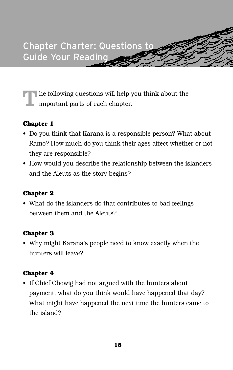

 $\textcolor{red}{\blacksquare}$  <br> he following questions will help you think about the important parts of each chapter.

#### **Chapter 1**

- Do you think that Karana is a responsible person? What about Ramo? How much do you think their ages affect whether or not they are responsible?
- How would you describe the relationship between the islanders and the Aleuts as the story begins?

#### **Chapter 2**

• What do the islanders do that contributes to bad feelings between them and the Aleuts?

#### **Chapter 3**

• Why might Karana's people need to know exactly when the hunters will leave?

#### **Chapter 4**

• If Chief Chowig had not argued with the hunters about payment, what do you think would have happened that day? What might have happened the next time the hunters came to the island?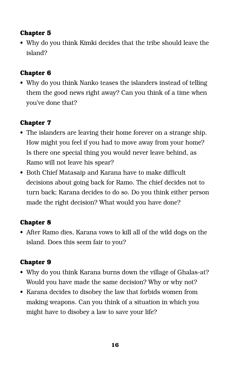• Why do you think Kimki decides that the tribe should leave the island?

#### **Chapter 6**

• Why do you think Nanko teases the islanders instead of telling them the good news right away? Can you think of a time when you've done that?

#### **Chapter 7**

- The islanders are leaving their home forever on a strange ship. How might you feel if you had to move away from your home? Is there one special thing you would never leave behind, as Ramo will not leave his spear?
- Both Chief Matasaip and Karana have to make difficult decisions about going back for Ramo. The chief decides not to turn back; Karana decides to do so. Do you think either person made the right decision? What would you have done?

#### **Chapter 8**

• After Ramo dies, Karana vows to kill all of the wild dogs on the island. Does this seem fair to you?

#### **Chapter 9**

- Why do you think Karana burns down the village of Ghalas-at? Would you have made the same decision? Why or why not?
- Karana decides to disobey the law that forbids women from making weapons. Can you think of a situation in which you might have to disobey a law to save your life?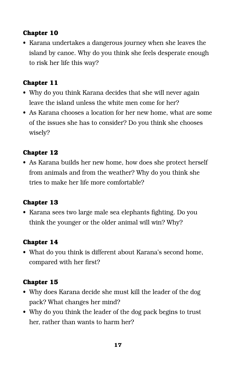• Karana undertakes a dangerous journey when she leaves the island by canoe. Why do you think she feels desperate enough to risk her life this way?

#### **Chapter 11**

- Why do you think Karana decides that she will never again leave the island unless the white men come for her?
- As Karana chooses a location for her new home, what are some of the issues she has to consider? Do you think she chooses wisely?

#### **Chapter 12**

• As Karana builds her new home, how does she protect herself from animals and from the weather? Why do you think she tries to make her life more comfortable?

#### **Chapter 13**

• Karana sees two large male sea elephants fighting. Do you think the younger or the older animal will win? Why?

#### **Chapter 14**

• What do you think is different about Karana's second home, compared with her first?

#### **Chapter 15**

- Why does Karana decide she must kill the leader of the dog pack? What changes her mind?
- Why do you think the leader of the dog pack begins to trust her, rather than wants to harm her?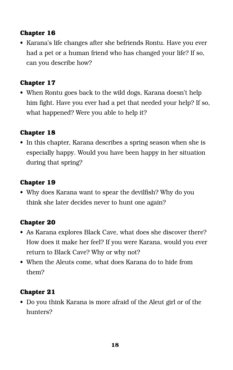• Karana's life changes after she befriends Rontu. Have you ever had a pet or a human friend who has changed your life? If so, can you describe how?

#### **Chapter 17**

• When Rontu goes back to the wild dogs, Karana doesn't help him fight. Have you ever had a pet that needed your help? If so, what happened? Were you able to help it?

#### **Chapter 18**

• In this chapter, Karana describes a spring season when she is especially happy. Would you have been happy in her situation during that spring?

#### **Chapter 19**

• Why does Karana want to spear the devilfish? Why do you think she later decides never to hunt one again?

#### **Chapter 20**

- As Karana explores Black Cave, what does she discover there? How does it make her feel? If you were Karana, would you ever return to Black Cave? Why or why not?
- When the Aleuts come, what does Karana do to hide from them?

#### **Chapter 21**

• Do you think Karana is more afraid of the Aleut girl or of the hunters?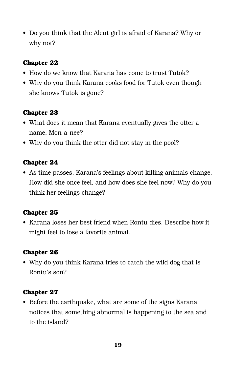• Do you think that the Aleut girl is afraid of Karana? Why or why not?

#### **Chapter 22**

- How do we know that Karana has come to trust Tutok?
- Why do you think Karana cooks food for Tutok even though she knows Tutok is gone?

#### **Chapter 23**

- What does it mean that Karana eventually gives the otter a name, Mon-a-nee?
- Why do you think the otter did not stay in the pool?

#### **Chapter 24**

• As time passes, Karana's feelings about killing animals change. How did she once feel, and how does she feel now? Why do you think her feelings change?

#### **Chapter 25**

• Karana loses her best friend when Rontu dies. Describe how it might feel to lose a favorite animal.

#### **Chapter 26**

• Why do you think Karana tries to catch the wild dog that is Rontu's son?

#### **Chapter 27**

• Before the earthquake, what are some of the signs Karana notices that something abnormal is happening to the sea and to the island?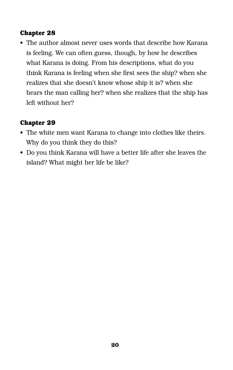• The author almost never uses words that describe how Karana is feeling. We can often guess, though, by how he describes what Karana is doing. From his descriptions, what do you think Karana is feeling when she first sees the ship? when she realizes that she doesn't know whose ship it is? when she hears the man calling her? when she realizes that the ship has left without her?

#### **Chapter 29**

- The white men want Karana to change into clothes like theirs. Why do you think they do this?
- Do you think Karana will have a better life after she leaves the island? What might her life be like?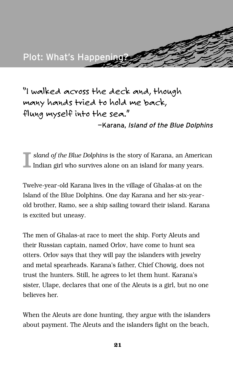

*"I walked across the deck and, though many hands tried to hold me back, flung myself into the sea."*

—Karana, Island of the Blue Dolphins

I *sland of the Blue Dolphins* is the story of Karana, an American Indian girl who survives alone on an island for many years.

Twelve-year-old Karana lives in the village of Ghalas-at on the Island of the Blue Dolphins. One day Karana and her six-yearold brother, Ramo, see a ship sailing toward their island. Karana is excited but uneasy.

The men of Ghalas-at race to meet the ship. Forty Aleuts and their Russian captain, named Orlov, have come to hunt sea otters. Orlov says that they will pay the islanders with jewelry and metal spearheads. Karana's father, Chief Chowig, does not trust the hunters. Still, he agrees to let them hunt. Karana's sister, Ulape, declares that one of the Aleuts is a girl, but no one believes her.

When the Aleuts are done hunting, they argue with the islanders about payment. The Aleuts and the islanders fight on the beach,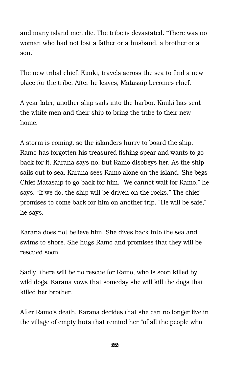and many island men die. The tribe is devastated. "There was no woman who had not lost a father or a husband, a brother or a son."

The new tribal chief, Kimki, travels across the sea to find a new place for the tribe. After he leaves, Matasaip becomes chief.

A year later, another ship sails into the harbor. Kimki has sent the white men and their ship to bring the tribe to their new home.

A storm is coming, so the islanders hurry to board the ship. Ramo has forgotten his treasured fishing spear and wants to go back for it. Karana says no, but Ramo disobeys her. As the ship sails out to sea, Karana sees Ramo alone on the island. She begs Chief Matasaip to go back for him. "We cannot wait for Ramo," he says. "If we do, the ship will be driven on the rocks." The chief promises to come back for him on another trip. "He will be safe," he says.

Karana does not believe him. She dives back into the sea and swims to shore. She hugs Ramo and promises that they will be rescued soon.

Sadly, there will be no rescue for Ramo, who is soon killed by wild dogs. Karana vows that someday she will kill the dogs that killed her brother.

After Ramo's death, Karana decides that she can no longer live in the village of empty huts that remind her "of all the people who

**22**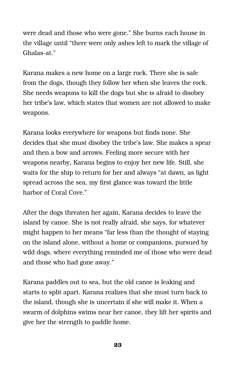were dead and those who were gone." She burns each house in the village until "there were only ashes left to mark the village of Ghalas-at."

Karana makes a new home on a large rock. There she is safe from the dogs, though they follow her when she leaves the rock. She needs weapons to kill the dogs but she is afraid to disobey her tribe's law, which states that women are not allowed to make weapons.

Karana looks everywhere for weapons but finds none. She decides that she must disobey the tribe's law. She makes a spear and then a bow and arrows. Feeling more secure with her weapons nearby, Karana begins to enjoy her new life. Still, she waits for the ship to return for her and always "at dawn, as light spread across the sea, my first glance was toward the little harbor of Coral Cove."

After the dogs threaten her again, Karana decides to leave the island by canoe. She is not really afraid, she says, for whatever might happen to her means "far less than the thought of staying on the island alone, without a home or companions, pursued by wild dogs, where everything reminded me of those who were dead and those who had gone away."

Karana paddles out to sea, but the old canoe is leaking and starts to split apart. Karana realizes that she must turn back to the island, though she is uncertain if she will make it. When a swarm of dolphins swims near her canoe, they lift her spirits and give her the strength to paddle home.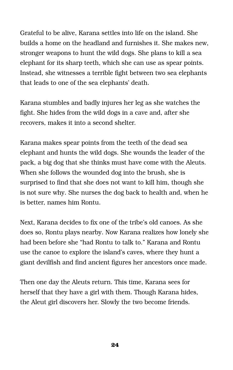Grateful to be alive, Karana settles into life on the island. She builds a home on the headland and furnishes it. She makes new, stronger weapons to hunt the wild dogs. She plans to kill a sea elephant for its sharp teeth, which she can use as spear points. Instead, she witnesses a terrible fight between two sea elephants that leads to one of the sea elephants' death.

Karana stumbles and badly injures her leg as she watches the fight. She hides from the wild dogs in a cave and, after she recovers, makes it into a second shelter.

Karana makes spear points from the teeth of the dead sea elephant and hunts the wild dogs. She wounds the leader of the pack, a big dog that she thinks must have come with the Aleuts. When she follows the wounded dog into the brush, she is surprised to find that she does not want to kill him, though she is not sure why. She nurses the dog back to health and, when he is better, names him Rontu.

Next, Karana decides to fix one of the tribe's old canoes. As she does so, Rontu plays nearby. Now Karana realizes how lonely she had been before she "had Rontu to talk to." Karana and Rontu use the canoe to explore the island's caves, where they hunt a giant devilfish and find ancient figures her ancestors once made.

Then one day the Aleuts return. This time, Karana sees for herself that they have a girl with them. Though Karana hides, the Aleut girl discovers her. Slowly the two become friends.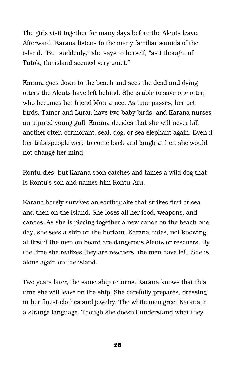The girls visit together for many days before the Aleuts leave. Afterward, Karana listens to the many familiar sounds of the island. "But suddenly," she says to herself, "as I thought of Tutok, the island seemed very quiet."

Karana goes down to the beach and sees the dead and dying otters the Aleuts have left behind. She is able to save one otter, who becomes her friend Mon-a-nee. As time passes, her pet birds, Tainor and Lurai, have two baby birds, and Karana nurses an injured young gull. Karana decides that she will never kill another otter, cormorant, seal, dog, or sea elephant again. Even if her tribespeople were to come back and laugh at her, she would not change her mind.

Rontu dies, but Karana soon catches and tames a wild dog that is Rontu's son and names him Rontu-Aru.

Karana barely survives an earthquake that strikes first at sea and then on the island. She loses all her food, weapons, and canoes. As she is piecing together a new canoe on the beach one day, she sees a ship on the horizon. Karana hides, not knowing at first if the men on board are dangerous Aleuts or rescuers. By the time she realizes they are rescuers, the men have left. She is alone again on the island.

Two years later, the same ship returns. Karana knows that this time she will leave on the ship. She carefully prepares, dressing in her finest clothes and jewelry. The white men greet Karana in a strange language. Though she doesn't understand what they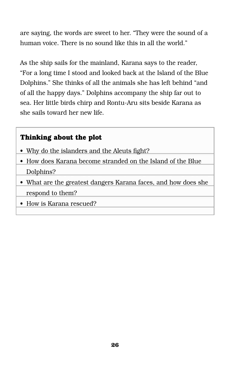are saying, the words are sweet to her. "They were the sound of a human voice. There is no sound like this in all the world."

As the ship sails for the mainland, Karana says to the reader, "For a long time I stood and looked back at the Island of the Blue Dolphins." She thinks of all the animals she has left behind "and of all the happy days." Dolphins accompany the ship far out to sea. Her little birds chirp and Rontu-Aru sits beside Karana as she sails toward her new life.

#### **Thinking about the plot**

- Why do the islanders and the Aleuts fight?
- How does Karana become stranded on the Island of the Blue Dolphins?
- What are the greatest dangers Karana faces, and how does she respond to them?
- How is Karana rescued?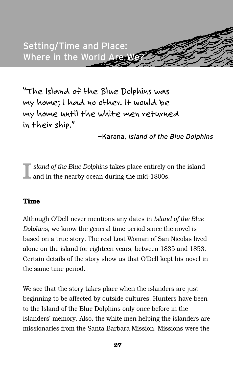

*"The Island of the Blue Dolphins was my home; I had no other. It would be my home until the white men returned in their ship."*

—Karana, Island of the Blue Dolphins

I *sland of the Blue Dolphins* takes place entirely on the island and in the nearby ocean during the mid-1800s.

#### **Time**

Although O'Dell never mentions any dates in *Island of the Blue Dolphins*, we know the general time period since the novel is based on a true story. The real Lost Woman of San Nicolas lived alone on the island for eighteen years, between 1835 and 1853. Certain details of the story show us that O'Dell kept his novel in the same time period.

We see that the story takes place when the islanders are just beginning to be affected by outside cultures. Hunters have been to the Island of the Blue Dolphins only once before in the islanders' memory. Also, the white men helping the islanders are missionaries from the Santa Barbara Mission. Missions were the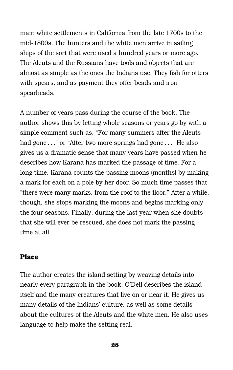main white settlements in California from the late 1700s to the mid-1800s. The hunters and the white men arrive in sailing ships of the sort that were used a hundred years or more ago. The Aleuts and the Russians have tools and objects that are almost as simple as the ones the Indians use: They fish for otters with spears, and as payment they offer beads and iron spearheads.

A number of years pass during the course of the book. The author shows this by letting whole seasons or years go by with a simple comment such as, "For many summers after the Aleuts had gone . . ." or "After two more springs had gone . . ." He also gives us a dramatic sense that many years have passed when he describes how Karana has marked the passage of time. For a long time, Karana counts the passing moons (months) by making a mark for each on a pole by her door. So much time passes that "there were many marks, from the roof to the floor." After a while, though, she stops marking the moons and begins marking only the four seasons. Finally, during the last year when she doubts that she will ever be rescued, she does not mark the passing time at all.

#### **Place**

The author creates the island setting by weaving details into nearly every paragraph in the book. O'Dell describes the island itself and the many creatures that live on or near it. He gives us many details of the Indians' culture, as well as some details about the cultures of the Aleuts and the white men. He also uses language to help make the setting real.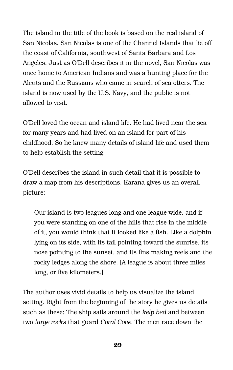The island in the title of the book is based on the real island of San Nicolas. San Nicolas is one of the Channel Islands that lie off the coast of California, southwest of Santa Barbara and Los Angeles. Just as O'Dell describes it in the novel, San Nicolas was once home to American Indians and was a hunting place for the Aleuts and the Russians who came in search of sea otters. The island is now used by the U.S. Navy, and the public is not allowed to visit.

O'Dell loved the ocean and island life. He had lived near the sea for many years and had lived on an island for part of his childhood. So he knew many details of island life and used them to help establish the setting.

O'Dell describes the island in such detail that it is possible to draw a map from his descriptions. Karana gives us an overall picture:

Our island is two leagues long and one league wide, and if you were standing on one of the hills that rise in the middle of it, you would think that it looked like a fish. Like a dolphin lying on its side, with its tail pointing toward the sunrise, its nose pointing to the sunset, and its fins making reefs and the rocky ledges along the shore. [A league is about three miles long, or five kilometers.]

The author uses vivid details to help us visualize the island setting. Right from the beginning of the story he gives us details such as these: The ship sails around the *kelp bed* and between two *large rocks* that guard *Coral Cove*. The men race down the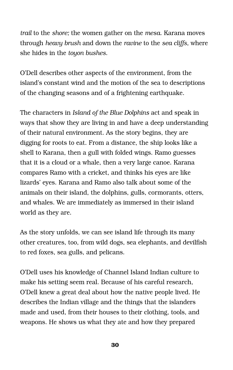*trail* to the *shore;* the women gather on the *mesa*. Karana moves through *heavy brush* and down the *ravine* to the *sea cliffs,* where she hides in the *toyon bushes*.

O'Dell describes other aspects of the environment, from the island's constant wind and the motion of the sea to descriptions of the changing seasons and of a frightening earthquake.

The characters in *Island of the Blue Dolphins* act and speak in ways that show they are living in and have a deep understanding of their natural environment. As the story begins, they are digging for roots to eat. From a distance, the ship looks like a shell to Karana, then a gull with folded wings. Ramo guesses that it is a cloud or a whale, then a very large canoe. Karana compares Ramo with a cricket, and thinks his eyes are like lizards' eyes. Karana and Ramo also talk about some of the animals on their island, the dolphins, gulls, cormorants, otters, and whales. We are immediately as immersed in their island world as they are.

As the story unfolds, we can see island life through its many other creatures, too, from wild dogs, sea elephants, and devilfish to red foxes, sea gulls, and pelicans.

O'Dell uses his knowledge of Channel Island Indian culture to make his setting seem real. Because of his careful research, O'Dell knew a great deal about how the native people lived. He describes the Indian village and the things that the islanders made and used, from their houses to their clothing, tools, and weapons. He shows us what they ate and how they prepared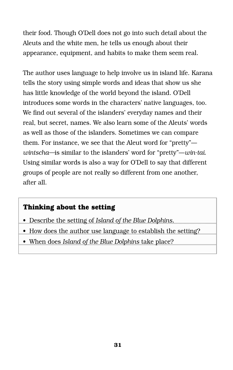their food. Though O'Dell does not go into such detail about the Aleuts and the white men, he tells us enough about their appearance, equipment, and habits to make them seem real.

The author uses language to help involve us in island life. Karana tells the story using simple words and ideas that show us she has little knowledge of the world beyond the island. O'Dell introduces some words in the characters' native languages, too. We find out several of the islanders' everyday names and their real, but secret, names. We also learn some of the Aleuts' words as well as those of the islanders. Sometimes we can compare them. For instance, we see that the Aleut word for "pretty" *wintscha—*is similar to the islanders' word for "pretty"—*win-tai*. Using similar words is also a way for O'Dell to say that different groups of people are not really so different from one another, after all.

#### **Thinking about the setting**

- Describe the setting of *Island of the Blue Dolphins.*
- How does the author use language to establish the setting?
- When does *Island of the Blue Dolphins* take place?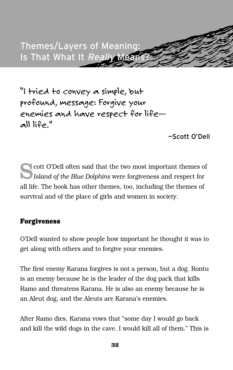

*"I tried to convey a simple, but profound, message: Forgive your enemies and have respect for life all life."*

—Scott O'Dell

Cott O'Dell often said that the two most important themes of *Island of the Blue Dolphins* were forgiveness and respect for all life. The book has other themes, too, including the themes of survival and of the place of girls and women in society.

#### **Forgiveness**

O'Dell wanted to show people how important he thought it was to get along with others and to forgive your enemies.

The first enemy Karana forgives is not a person, but a dog. Rontu is an enemy because he is the leader of the dog pack that kills Ramo and threatens Karana. He is also an enemy because he is an Aleut dog, and the Aleuts are Karana's enemies.

After Ramo dies, Karana vows that "some day I would go back and kill the wild dogs in the cave. I would kill all of them." This is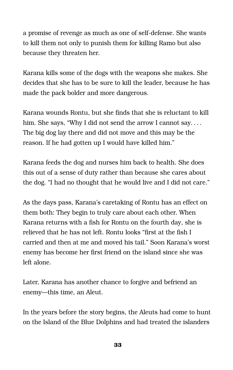a promise of revenge as much as one of self-defense. She wants to kill them not only to punish them for killing Ramo but also because they threaten her.

Karana kills some of the dogs with the weapons she makes. She decides that she has to be sure to kill the leader, because he has made the pack bolder and more dangerous.

Karana wounds Rontu, but she finds that she is reluctant to kill him. She says, "Why I did not send the arrow I cannot say.... The big dog lay there and did not move and this may be the reason. If he had gotten up I would have killed him."

Karana feeds the dog and nurses him back to health. She does this out of a sense of duty rather than because she cares about the dog. "I had no thought that he would live and I did not care."

As the days pass, Karana's caretaking of Rontu has an effect on them both: They begin to truly care about each other. When Karana returns with a fish for Rontu on the fourth day, she is relieved that he has not left. Rontu looks "first at the fish I carried and then at me and moved his tail." Soon Karana's worst enemy has become her first friend on the island since she was left alone.

Later, Karana has another chance to forgive and befriend an enemy—this time, an Aleut.

In the years before the story begins, the Aleuts had come to hunt on the Island of the Blue Dolphins and had treated the islanders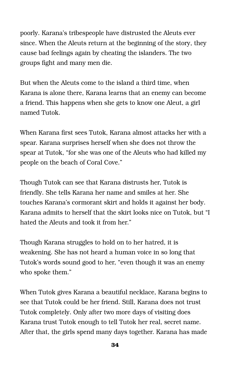poorly. Karana's tribespeople have distrusted the Aleuts ever since. When the Aleuts return at the beginning of the story, they cause bad feelings again by cheating the islanders. The two groups fight and many men die.

But when the Aleuts come to the island a third time, when Karana is alone there, Karana learns that an enemy can become a friend. This happens when she gets to know one Aleut, a girl named Tutok.

When Karana first sees Tutok, Karana almost attacks her with a spear. Karana surprises herself when she does not throw the spear at Tutok, "for she was one of the Aleuts who had killed my people on the beach of Coral Cove."

Though Tutok can see that Karana distrusts her, Tutok is friendly. She tells Karana her name and smiles at her. She touches Karana's cormorant skirt and holds it against her body. Karana admits to herself that the skirt looks nice on Tutok, but "I hated the Aleuts and took it from her."

Though Karana struggles to hold on to her hatred, it is weakening. She has not heard a human voice in so long that Tutok's words sound good to her, "even though it was an enemy who spoke them."

When Tutok gives Karana a beautiful necklace, Karana begins to see that Tutok could be her friend. Still, Karana does not trust Tutok completely. Only after two more days of visiting does Karana trust Tutok enough to tell Tutok her real, secret name. After that, the girls spend many days together. Karana has made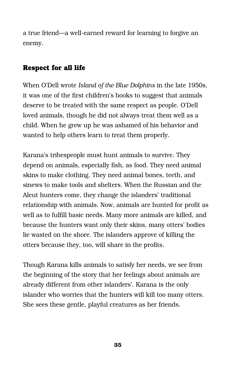a true friend—a well-earned reward for learning to forgive an enemy.

#### **Respect for all life**

When O'Dell wrote *Island of the Blue Dolphins* in the late 1950s, it was one of the first children's books to suggest that animals deserve to be treated with the same respect as people. O'Dell loved animals, though he did not always treat them well as a child. When he grew up he was ashamed of his behavior and wanted to help others learn to treat them properly.

Karana's tribespeople must hunt animals to survive. They depend on animals, especially fish, as food. They need animal skins to make clothing. They need animal bones, teeth, and sinews to make tools and shelters. When the Russian and the Aleut hunters come, they change the islanders' traditional relationship with animals. Now, animals are hunted for profit as well as to fulfill basic needs. Many more animals are killed, and because the hunters want only their skins, many otters' bodies lie wasted on the shore. The islanders approve of killing the otters because they, too, will share in the profits.

Though Karana kills animals to satisfy her needs, we see from the beginning of the story that her feelings about animals are already different from other islanders'. Karana is the only islander who worries that the hunters will kill too many otters. She sees these gentle, playful creatures as her friends.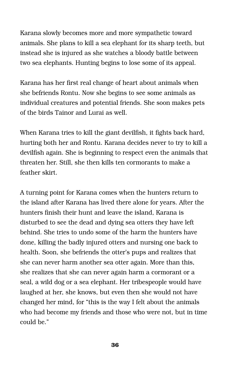Karana slowly becomes more and more sympathetic toward animals. She plans to kill a sea elephant for its sharp teeth, but instead she is injured as she watches a bloody battle between two sea elephants. Hunting begins to lose some of its appeal.

Karana has her first real change of heart about animals when she befriends Rontu. Now she begins to see some animals as individual creatures and potential friends. She soon makes pets of the birds Tainor and Lurai as well.

When Karana tries to kill the giant devilfish, it fights back hard, hurting both her and Rontu. Karana decides never to try to kill a devilfish again. She is beginning to respect even the animals that threaten her. Still, she then kills ten cormorants to make a feather skirt.

A turning point for Karana comes when the hunters return to the island after Karana has lived there alone for years. After the hunters finish their hunt and leave the island, Karana is disturbed to see the dead and dying sea otters they have left behind. She tries to undo some of the harm the hunters have done, killing the badly injured otters and nursing one back to health. Soon, she befriends the otter's pups and realizes that she can never harm another sea otter again. More than this, she realizes that she can never again harm a cormorant or a seal, a wild dog or a sea elephant. Her tribespeople would have laughed at her, she knows, but even then she would not have changed her mind, for "this is the way I felt about the animals who had become my friends and those who were not, but in time could be."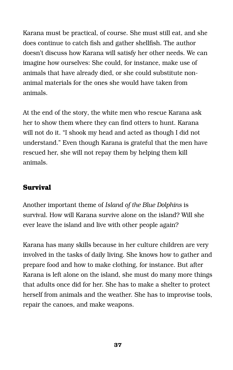Karana must be practical, of course. She must still eat, and she does continue to catch fish and gather shellfish. The author doesn't discuss how Karana will satisfy her other needs. We can imagine how ourselves: She could, for instance, make use of animals that have already died, or she could substitute nonanimal materials for the ones she would have taken from animals.

At the end of the story, the white men who rescue Karana ask her to show them where they can find otters to hunt. Karana will not do it. "I shook my head and acted as though I did not understand." Even though Karana is grateful that the men have rescued her, she will not repay them by helping them kill animals.

#### **Survival**

Another important theme of *Island of the Blue Dolphins* is survival. How will Karana survive alone on the island? Will she ever leave the island and live with other people again?

Karana has many skills because in her culture children are very involved in the tasks of daily living. She knows how to gather and prepare food and how to make clothing, for instance. But after Karana is left alone on the island, she must do many more things that adults once did for her. She has to make a shelter to protect herself from animals and the weather. She has to improvise tools, repair the canoes, and make weapons.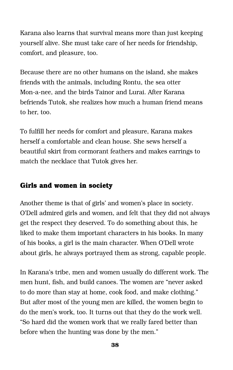Karana also learns that survival means more than just keeping yourself alive. She must take care of her needs for friendship, comfort, and pleasure, too.

Because there are no other humans on the island, she makes friends with the animals, including Rontu, the sea otter Mon-a-nee, and the birds Tainor and Lurai. After Karana befriends Tutok, she realizes how much a human friend means to her, too.

To fulfill her needs for comfort and pleasure, Karana makes herself a comfortable and clean house. She sews herself a beautiful skirt from cormorant feathers and makes earrings to match the necklace that Tutok gives her.

#### **Girls and women in society**

Another theme is that of girls' and women's place in society. O'Dell admired girls and women, and felt that they did not always get the respect they deserved. To do something about this, he liked to make them important characters in his books. In many of his books, a girl is the main character. When O'Dell wrote about girls, he always portrayed them as strong, capable people.

In Karana's tribe, men and women usually do different work. The men hunt, fish, and build canoes. The women are "never asked to do more than stay at home, cook food, and make clothing." But after most of the young men are killed, the women begin to do the men's work, too. It turns out that they do the work well. "So hard did the women work that we really fared better than before when the hunting was done by the men."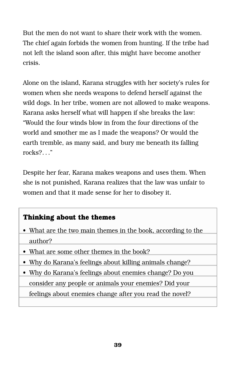But the men do not want to share their work with the women. The chief again forbids the women from hunting. If the tribe had not left the island soon after, this might have become another crisis.

Alone on the island, Karana struggles with her society's rules for women when she needs weapons to defend herself against the wild dogs. In her tribe, women are not allowed to make weapons. Karana asks herself what will happen if she breaks the law: "Would the four winds blow in from the four directions of the world and smother me as I made the weapons? Or would the earth tremble, as many said, and bury me beneath its falling rocks?. . ."

Despite her fear, Karana makes weapons and uses them. When she is not punished, Karana realizes that the law was unfair to women and that it made sense for her to disobey it.

#### **Thinking about the themes**

- What are the two main themes in the book, according to the author?
- What are some other themes in the book?
- Why do Karana's feelings about killing animals change?
- Why do Karana's feelings about enemies change? Do you consider any people or animals your enemies? Did your

feelings about enemies change after you read the novel?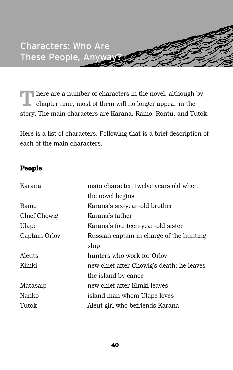There are a number of characters in the novel, although by chapter nine, most of them will no longer appear in the story. The main characters are Karana, Ramo, Rontu, and Tutok.

Here is a list of characters. Following that is a brief description of each of the main characters.

#### **People**

| Karana        | main character, twelve years old when     |
|---------------|-------------------------------------------|
|               | the novel begins                          |
| Ramo          | Karana's six-year-old brother             |
| Chief Chowig  | Karana's father                           |
| Ulape         | Karana's fourteen-year-old sister         |
| Captain Orlov | Russian captain in charge of the hunting  |
|               | ship                                      |
| Aleuts        | hunters who work for Orlov                |
| Kimki         | new chief after Chowig's death; he leaves |
|               | the island by canoe                       |
| Matasaip      | new chief after Kimki leaves              |
| Nanko         | island man whom Ulape loves               |
| Tutok         | Aleut girl who befriends Karana           |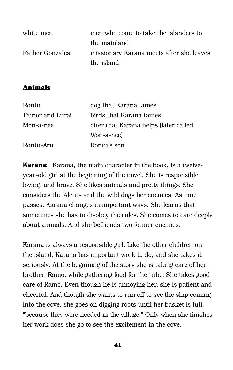| white men              | men who come to take the islanders to    |
|------------------------|------------------------------------------|
|                        | the mainland                             |
| <b>Father Gonzales</b> | missionary Karana meets after she leaves |
|                        | the island                               |

#### **Animals**

| dog that Karana tames                 |
|---------------------------------------|
| birds that Karana tames               |
| otter that Karana helps (later called |
| Won-a-nee)                            |
| Rontu's son                           |
|                                       |

**Karana:** Karana, the main character in the book, is a twelveyear-old girl at the beginning of the novel. She is responsible, loving, and brave. She likes animals and pretty things. She considers the Aleuts and the wild dogs her enemies. As time passes, Karana changes in important ways. She learns that sometimes she has to disobey the rules. She comes to care deeply about animals. And she befriends two former enemies.

Karana is always a responsible girl. Like the other children on the island, Karana has important work to do, and she takes it seriously. At the beginning of the story she is taking care of her brother, Ramo, while gathering food for the tribe. She takes good care of Ramo. Even though he is annoying her, she is patient and cheerful. And though she wants to run off to see the ship coming into the cove, she goes on digging roots until her basket is full, "because they were needed in the village." Only when she finishes her work does she go to see the excitement in the cove.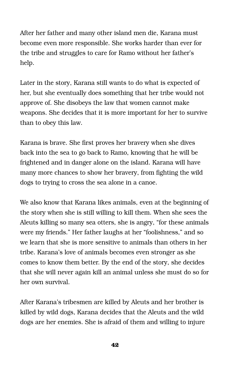After her father and many other island men die, Karana must become even more responsible. She works harder than ever for the tribe and struggles to care for Ramo without her father's help.

Later in the story, Karana still wants to do what is expected of her, but she eventually does something that her tribe would not approve of. She disobeys the law that women cannot make weapons. She decides that it is more important for her to survive than to obey this law.

Karana is brave. She first proves her bravery when she dives back into the sea to go back to Ramo, knowing that he will be frightened and in danger alone on the island. Karana will have many more chances to show her bravery, from fighting the wild dogs to trying to cross the sea alone in a canoe.

We also know that Karana likes animals, even at the beginning of the story when she is still willing to kill them. When she sees the Aleuts killing so many sea otters, she is angry, "for these animals were my friends." Her father laughs at her "foolishness," and so we learn that she is more sensitive to animals than others in her tribe. Karana's love of animals becomes even stronger as she comes to know them better. By the end of the story, she decides that she will never again kill an animal unless she must do so for her own survival.

After Karana's tribesmen are killed by Aleuts and her brother is killed by wild dogs, Karana decides that the Aleuts and the wild dogs are her enemies. She is afraid of them and willing to injure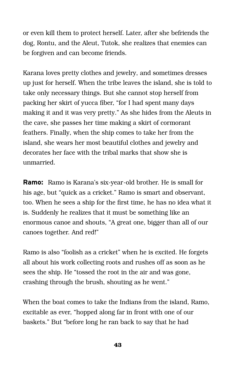or even kill them to protect herself. Later, after she befriends the dog, Rontu, and the Aleut, Tutok, she realizes that enemies can be forgiven and can become friends.

Karana loves pretty clothes and jewelry, and sometimes dresses up just for herself. When the tribe leaves the island, she is told to take only necessary things. But she cannot stop herself from packing her skirt of yucca fiber, "for I had spent many days making it and it was very pretty." As she hides from the Aleuts in the cave, she passes her time making a skirt of cormorant feathers. Finally, when the ship comes to take her from the island, she wears her most beautiful clothes and jewelry and decorates her face with the tribal marks that show she is unmarried.

**Ramo:** Ramo is Karana's six-year-old brother. He is small for his age, but "quick as a cricket." Ramo is smart and observant, too. When he sees a ship for the first time, he has no idea what it is. Suddenly he realizes that it must be something like an enormous canoe and shouts, "A great one, bigger than all of our canoes together. And red!"

Ramo is also "foolish as a cricket" when he is excited. He forgets all about his work collecting roots and rushes off as soon as he sees the ship. He "tossed the root in the air and was gone, crashing through the brush, shouting as he went."

When the boat comes to take the Indians from the island, Ramo, excitable as ever, "hopped along far in front with one of our baskets." But "before long he ran back to say that he had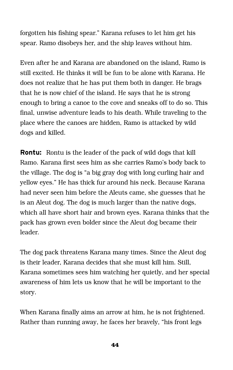forgotten his fishing spear." Karana refuses to let him get his spear. Ramo disobeys her, and the ship leaves without him.

Even after he and Karana are abandoned on the island, Ramo is still excited. He thinks it will be fun to be alone with Karana. He does not realize that he has put them both in danger. He brags that he is now chief of the island. He says that he is strong enough to bring a canoe to the cove and sneaks off to do so. This final, unwise adventure leads to his death. While traveling to the place where the canoes are hidden, Ramo is attacked by wild dogs and killed.

**Rontu:** Rontu is the leader of the pack of wild dogs that kill Ramo. Karana first sees him as she carries Ramo's body back to the village. The dog is "a big gray dog with long curling hair and yellow eyes." He has thick fur around his neck. Because Karana had never seen him before the Aleuts came, she guesses that he is an Aleut dog. The dog is much larger than the native dogs, which all have short hair and brown eyes. Karana thinks that the pack has grown even bolder since the Aleut dog became their leader.

The dog pack threatens Karana many times. Since the Aleut dog is their leader, Karana decides that she must kill him. Still, Karana sometimes sees him watching her quietly, and her special awareness of him lets us know that he will be important to the story.

When Karana finally aims an arrow at him, he is not frightened. Rather than running away, he faces her bravely, "his front legs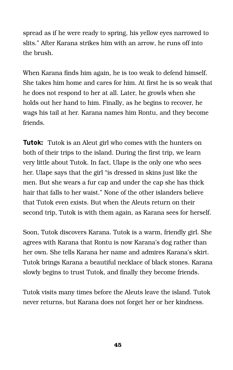spread as if he were ready to spring, his yellow eyes narrowed to slits." After Karana strikes him with an arrow, he runs off into the brush.

When Karana finds him again, he is too weak to defend himself. She takes him home and cares for him. At first he is so weak that he does not respond to her at all. Later, he growls when she holds out her hand to him. Finally, as he begins to recover, he wags his tail at her. Karana names him Rontu, and they become friends.

**Tutok:** Tutok is an Aleut girl who comes with the hunters on both of their trips to the island. During the first trip, we learn very little about Tutok. In fact, Ulape is the only one who sees her. Ulape says that the girl "is dressed in skins just like the men. But she wears a fur cap and under the cap she has thick hair that falls to her waist." None of the other islanders believe that Tutok even exists. But when the Aleuts return on their second trip, Tutok is with them again, as Karana sees for herself.

Soon, Tutok discovers Karana. Tutok is a warm, friendly girl. She agrees with Karana that Rontu is now Karana's dog rather than her own. She tells Karana her name and admires Karana's skirt. Tutok brings Karana a beautiful necklace of black stones. Karana slowly begins to trust Tutok, and finally they become friends.

Tutok visits many times before the Aleuts leave the island. Tutok never returns, but Karana does not forget her or her kindness.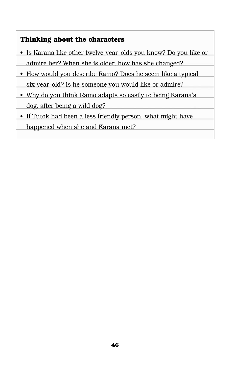#### **Thinking about the characters**

- Is Karana like other twelve-year-olds you know? Do you like or admire her? When she is older, how has she changed?
- How would you describe Ramo? Does he seem like a typical six-year-old? Is he someone you would like or admire?
- Why do you think Ramo adapts so easily to being Karana's dog, after being a wild dog?
- If Tutok had been a less friendly person, what might have happened when she and Karana met?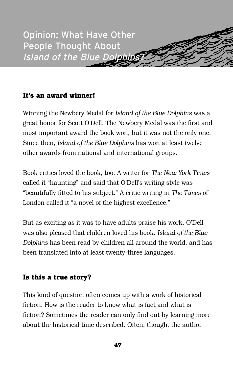

#### **It's an award winner!**

Winning the Newbery Medal for *Island of the Blue Dolphins* was a great honor for Scott O'Dell. The Newbery Medal was the first and most important award the book won, but it was not the only one. Since then, *Island of the Blue Dolphins* has won at least twelve other awards from national and international groups.

Book critics loved the book, too. A writer for *The New York Times* called it "haunting" and said that O'Dell's writing style was "beautifully fitted to his subject." A critic writing in *The Times* of London called it "a novel of the highest excellence."

But as exciting as it was to have adults praise his work, O'Dell was also pleased that children loved his book. *Island of the Blue Dolphins* has been read by children all around the world, and has been translated into at least twenty-three languages.

#### **Is this a true story?**

This kind of question often comes up with a work of historical fiction. How is the reader to know what is fact and what is fiction? Sometimes the reader can only find out by learning more about the historical time described. Often, though, the author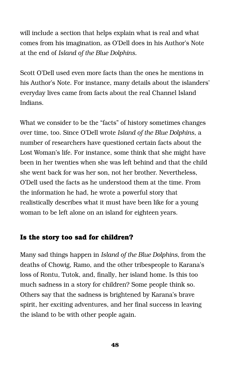will include a section that helps explain what is real and what comes from his imagination, as O'Dell does in his Author's Note at the end of *Island of the Blue Dolphins.*

Scott O'Dell used even more facts than the ones he mentions in his Author's Note. For instance, many details about the islanders' everyday lives came from facts about the real Channel Island Indians.

What we consider to be the "facts" of history sometimes changes over time, too. Since O'Dell wrote *Island of the Blue Dolphins*, a number of researchers have questioned certain facts about the Lost Woman's life. For instance, some think that she might have been in her twenties when she was left behind and that the child she went back for was her son, not her brother. Nevertheless, O'Dell used the facts as he understood them at the time. From the information he had, he wrote a powerful story that realistically describes what it must have been like for a young woman to be left alone on an island for eighteen years.

#### **Is the story too sad for children?**

Many sad things happen in *Island of the Blue Dolphins,* from the deaths of Chowig, Ramo, and the other tribespeople to Karana's loss of Rontu, Tutok, and, finally, her island home. Is this too much sadness in a story for children? Some people think so. Others say that the sadness is brightened by Karana's brave spirit, her exciting adventures, and her final success in leaving the island to be with other people again.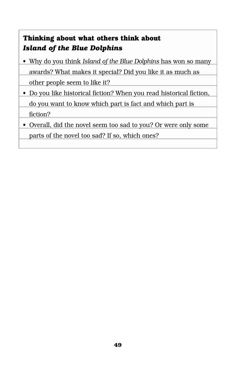#### **Thinking about what others think about**  *Island of the Blue Dolphins*

- Why do you think *Island of the Blue Dolphins* has won so many awards? What makes it special? Did you like it as much as other people seem to like it?
- Do you like historical fiction? When you read historical fiction, do you want to know which part is fact and which part is fiction?
- Overall, did the novel seem too sad to you? Or were only some parts of the novel too sad? If so, which ones?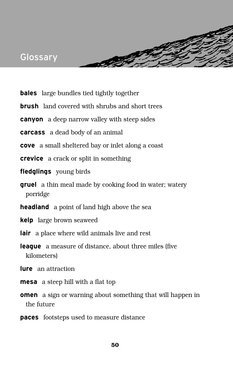### Glossary

- **bales** large bundles tied tightly together
- **brush** land covered with shrubs and short trees

**Charles** 

- **canyon** a deep narrow valley with steep sides
- **carcass** a dead body of an animal
- **cove** a small sheltered bay or inlet along a coast
- **crevice** a crack or split in something
- **fledglings** young birds
- **gruel** a thin meal made by cooking food in water; watery porridge
- **headland** a point of land high above the sea
- **kelp** large brown seaweed
- **lair** a place where wild animals live and rest
- **league** a measure of distance, about three miles (five kilometers)
- **lure** an attraction
- **mesa** a steep hill with a flat top
- **omen** a sign or warning about something that will happen in the future
- **paces** footsteps used to measure distance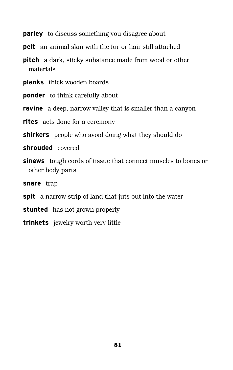**parley** to discuss something you disagree about

**pelt** an animal skin with the fur or hair still attached

**pitch** a dark, sticky substance made from wood or other materials

**planks** thick wooden boards

**ponder** to think carefully about

**ravine** a deep, narrow valley that is smaller than a canyon

**rites** acts done for a ceremony

**shirkers** people who avoid doing what they should do

**shrouded** covered

**sinews** tough cords of tissue that connect muscles to bones or other body parts

snare trap

- **spit** a narrow strip of land that juts out into the water
- **stunted** has not grown properly
- **trinkets** jewelry worth very little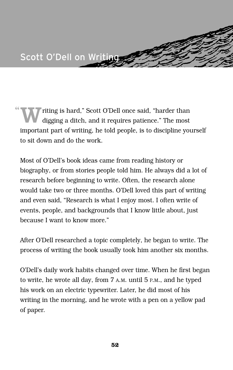

" riting is hard," Scott O'Dell once said, "harder than digging a ditch, and it requires patience." The most important part of writing, he told people, is to discipline yourself to sit down and do the work.

Most of O'Dell's book ideas came from reading history or biography, or from stories people told him. He always did a lot of research before beginning to write. Often, the research alone would take two or three months. O'Dell loved this part of writing and even said, "Research is what I enjoy most. I often write of events, people, and backgrounds that I know little about, just because I want to know more."

After O'Dell researched a topic completely, he began to write. The process of writing the book usually took him another six months.

O'Dell's daily work habits changed over time. When he first began to write, he wrote all day, from 7 A.M. until 5 P.M., and he typed his work on an electric typewriter. Later, he did most of his writing in the morning, and he wrote with a pen on a yellow pad of paper.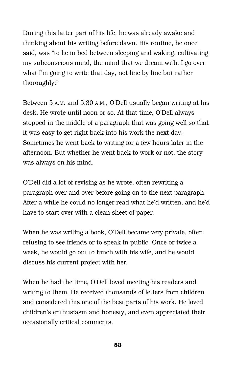During this latter part of his life, he was already awake and thinking about his writing before dawn. His routine, he once said, was "to lie in bed between sleeping and waking, cultivating my subconscious mind, the mind that we dream with. I go over what I'm going to write that day, not line by line but rather thoroughly."

Between 5 A.M. and 5:30 A.M., O'Dell usually began writing at his desk. He wrote until noon or so. At that time, O'Dell always stopped in the middle of a paragraph that was going well so that it was easy to get right back into his work the next day. Sometimes he went back to writing for a few hours later in the afternoon. But whether he went back to work or not, the story was always on his mind.

O'Dell did a lot of revising as he wrote, often rewriting a paragraph over and over before going on to the next paragraph. After a while he could no longer read what he'd written, and he'd have to start over with a clean sheet of paper.

When he was writing a book, O'Dell became very private, often refusing to see friends or to speak in public. Once or twice a week, he would go out to lunch with his wife, and he would discuss his current project with her.

When he had the time, O'Dell loved meeting his readers and writing to them. He received thousands of letters from children and considered this one of the best parts of his work. He loved children's enthusiasm and honesty, and even appreciated their occasionally critical comments.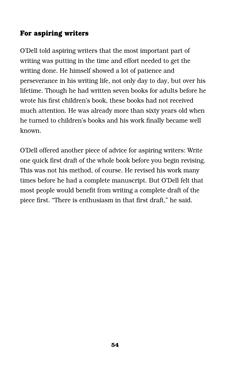#### **For aspiring writers**

O'Dell told aspiring writers that the most important part of writing was putting in the time and effort needed to get the writing done. He himself showed a lot of patience and perseverance in his writing life, not only day to day, but over his lifetime. Though he had written seven books for adults before he wrote his first children's book, these books had not received much attention. He was already more than sixty years old when he turned to children's books and his work finally became well known.

O'Dell offered another piece of advice for aspiring writers: Write one quick first draft of the whole book before you begin revising. This was not his method, of course. He revised his work many times before he had a complete manuscript. But O'Dell felt that most people would benefit from writing a complete draft of the piece first. "There is enthusiasm in that first draft," he said.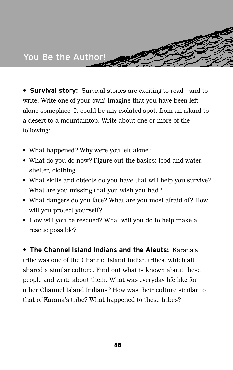**• Survival story:** Survival stories are exciting to read—and to write. Write one of your own! Imagine that you have been left alone someplace. It could be any isolated spot, from an island to a desert to a mountaintop. Write about one or more of the following:

- What happened? Why were you left alone?
- What do you do now? Figure out the basics: food and water, shelter, clothing.
- What skills and objects do you have that will help you survive? What are you missing that you wish you had?
- What dangers do you face? What are you most afraid of? How will you protect yourself?
- How will you be rescued? What will you do to help make a rescue possible?

**• The Channel Island Indians and the Aleuts:** Karana's tribe was one of the Channel Island Indian tribes, which all shared a similar culture. Find out what is known about these people and write about them. What was everyday life like for other Channel Island Indians? How was their culture similar to that of Karana's tribe? What happened to these tribes?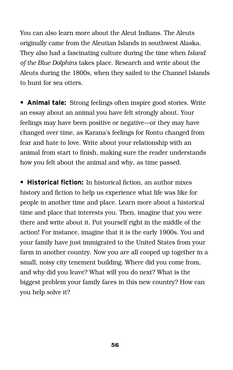You can also learn more about the Aleut Indians. The Aleuts originally came from the Aleutian Islands in southwest Alaska. They also had a fascinating culture during the time when *Island of the Blue Dolphins* takes place. Research and write about the Aleuts during the 1800s, when they sailed to the Channel Islands to hunt for sea otters.

**• Animal tale:** Strong feelings often inspire good stories. Write an essay about an animal you have felt strongly about. Your feelings may have been positive or negative—or they may have changed over time, as Karana's feelings for Rontu changed from fear and hate to love. Write about your relationship with an animal from start to finish, making sure the reader understands how you felt about the animal and why, as time passed.

**• Historical fiction:** In historical fiction, an author mixes history and fiction to help us experience what life was like for people in another time and place. Learn more about a historical time and place that interests you. Then, imagine that you were there and write about it. Put yourself right in the middle of the action! For instance, imagine that it is the early 1900s. You and your family have just immigrated to the United States from your farm in another country. Now you are all cooped up together in a small, noisy city tenement building. Where did you come from, and why did you leave? What will you do next? What is the biggest problem your family faces in this new country? How can you help solve it?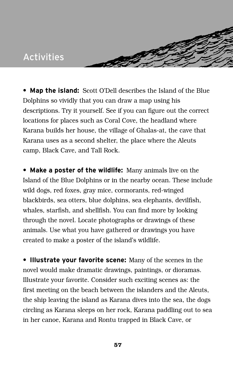### Activities

**• Map the island:** Scott O'Dell describes the Island of the Blue Dolphins so vividly that you can draw a map using his descriptions. Try it yourself. See if you can figure out the correct locations for places such as Coral Cove, the headland where Karana builds her house, the village of Ghalas-at, the cave that Karana uses as a second shelter, the place where the Aleuts camp, Black Cave, and Tall Rock.

**SPIN** 

**• Make a poster of the wildlife:** Many animals live on the Island of the Blue Dolphins or in the nearby ocean. These include wild dogs, red foxes, gray mice, cormorants, red-winged blackbirds, sea otters, blue dolphins, sea elephants, devilfish, whales, starfish, and shellfish. You can find more by looking through the novel. Locate photographs or drawings of these animals. Use what you have gathered or drawings you have created to make a poster of the island's wildlife.

**• Illustrate your favorite scene:** Many of the scenes in the novel would make dramatic drawings, paintings, or dioramas. Illustrate your favorite. Consider such exciting scenes as: the first meeting on the beach between the islanders and the Aleuts, the ship leaving the island as Karana dives into the sea, the dogs circling as Karana sleeps on her rock, Karana paddling out to sea in her canoe, Karana and Rontu trapped in Black Cave, or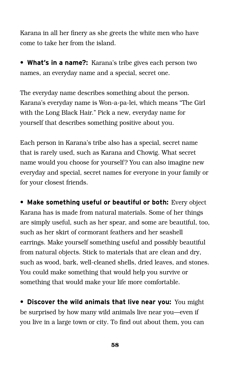Karana in all her finery as she greets the white men who have come to take her from the island.

**• What's in a name?:** Karana's tribe gives each person two names, an everyday name and a special, secret one.

The everyday name describes something about the person. Karana's everyday name is Won-a-pa-lei, which means "The Girl with the Long Black Hair." Pick a new, everyday name for yourself that describes something positive about you.

Each person in Karana's tribe also has a special, secret name that is rarely used, such as Karana and Chowig. What secret name would you choose for yourself? You can also imagine new everyday and special, secret names for everyone in your family or for your closest friends.

**• Make something useful or beautiful or both:** Every object Karana has is made from natural materials. Some of her things are simply useful, such as her spear, and some are beautiful, too, such as her skirt of cormorant feathers and her seashell earrings. Make yourself something useful and possibly beautiful from natural objects. Stick to materials that are clean and dry, such as wood, bark, well-cleaned shells, dried leaves, and stones. You could make something that would help you survive or something that would make your life more comfortable.

**• Discover the wild animals that live near you:** You might be surprised by how many wild animals live near you—even if you live in a large town or city. To find out about them, you can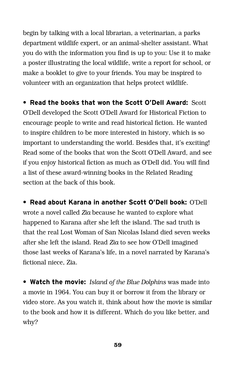begin by talking with a local librarian, a veterinarian, a parks department wildlife expert, or an animal-shelter assistant. What you do with the information you find is up to you: Use it to make a poster illustrating the local wildlife, write a report for school, or make a booklet to give to your friends. You may be inspired to volunteer with an organization that helps protect wildlife.

**• Read the books that won the Scott O'Dell Award:** Scott O'Dell developed the Scott O'Dell Award for Historical Fiction to encourage people to write and read historical fiction. He wanted to inspire children to be more interested in history, which is so important to understanding the world. Besides that, it's exciting! Read some of the books that won the Scott O'Dell Award, and see if you enjoy historical fiction as much as O'Dell did. You will find a list of these award-winning books in the Related Reading section at the back of this book.

**• Read about Karana in another Scott O'Dell book:** O'Dell wrote a novel called *Zia* because he wanted to explore what happened to Karana after she left the island. The sad truth is that the real Lost Woman of San Nicolas Island died seven weeks after she left the island. Read *Zia* to see how O'Dell imagined those last weeks of Karana's life, in a novel narrated by Karana's fictional niece, Zia.

**• Watch the movie:** *Island of the Blue Dolphins* was made into a movie in 1964. You can buy it or borrow it from the library or video store. As you watch it, think about how the movie is similar to the book and how it is different. Which do you like better, and why?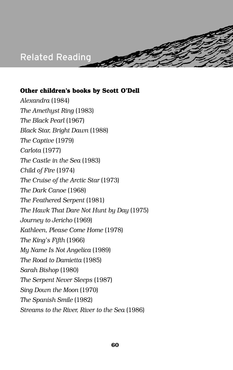### Related Reading

#### **Other children's books by Scott O'Dell**

*Alexandra* (1984) *The Amethyst Ring* (1983) *The Black Pearl* (1967) *Black Star, Bright Dawn* (1988) *The Captive* (1979) *Carlota* (1977) *The Castle in the Sea* (1983) *Child of Fire* (1974) *The Cruise of the Arctic Star* (1973) *The Dark Canoe* (1968) *The Feathered Serpent* (1981) *The Hawk That Dare Not Hunt by Day* (1975) *Journey to Jericho* (1969) *Kathleen, Please Come Home* (1978) *The King's Fifth* (1966) *My Name Is Not Angelica* (1989) *The Road to Damietta* (1985) *Sarah Bishop* (1980) *The Serpent Never Sleeps* (1987) *Sing Down the Moon* (1970) *The Spanish Smile* (1982) *Streams to the River, River to the Sea* (1986)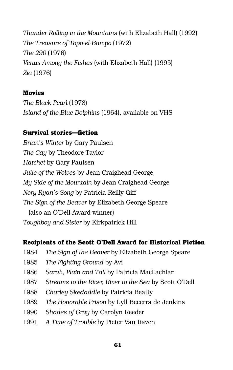*Thunder Rolling in the Mountains* (with Elizabeth Hall) (1992) *The Treasure of Topo-el-Bampo* (1972) *The 290* (1976) *Venus Among the Fishes* (with Elizabeth Hall) (1995) *Zia* (1976)

#### **Movies**

*The Black Pearl* (1978) *Island of the Blue Dolphins* (1964), available on VHS

#### **Survival stories—fiction**

*Brian's Winter* by Gary Paulsen *The Cay* by Theodore Taylor *Hatchet* by Gary Paulsen *Julie of the Wolves* by Jean Craighead George *My Side of the Mountain* by Jean Craighead George *Nory Ryan's Song* by Patricia Reilly Giff *The Sign of the Beaver* by Elizabeth George Speare (also an O'Dell Award winner) *Toughboy and Sister* by Kirkpatrick Hill

#### **Recipients of the Scott O'Dell Award for Historical Fiction**

- 1984 *The Sign of the Beaver* by Elizabeth George Speare
- 1985 *The Fighting Ground* by Avi
- 1986 *Sarah, Plain and Tall* by Patricia MacLachlan
- 1987 *Streams to the River, River to the Sea* by Scott O'Dell
- 1988 *Charley Skedaddle* by Patricia Beatty
- 1989 *The Honorable Prison* by Lyll Becerra de Jenkins
- 1990 *Shades of Gray* by Carolyn Reeder
- 1991 *A Time of Trouble* by Pieter Van Raven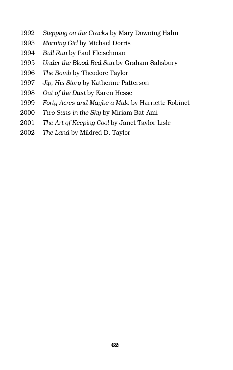- *Stepping on the Cracks* by Mary Downing Hahn
- *Morning Girl* by Michael Dorris
- *Bull Run* by Paul Fleischman
- *Under the Blood-Red Sun* by Graham Salisbury
- *The Bomb* by Theodore Taylor
- *Jip, His Story* by Katherine Patterson
- *Out of the Dust* by Karen Hesse
- *Forty Acres and Maybe a Mule* by Harriette Robinet
- *Two Suns in the Sky* by Miriam Bat-Ami
- *The Art of Keeping Cool* by Janet Taylor Lisle
- *The Land* by Mildred D. Taylor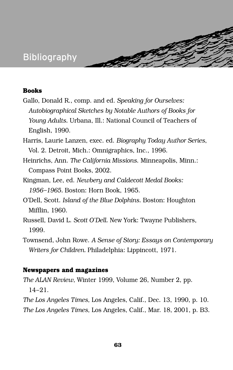### Bibliography

#### **Books**

- Gallo, Donald R., comp. and ed. *Speaking for Ourselves: Autobiographical Sketches by Notable Authors of Books for Young Adults.* Urbana, Ill.: National Council of Teachers of English, 1990.
- Harris, Laurie Lanzen, exec. ed. *Biography Today Author Series*, Vol. 2. Detroit, Mich.: Omnigraphics, Inc., 1996.
- Heinrichs, Ann. *The California Missions*. Minneapolis, Minn.: Compass Point Books, 2002.
- Kingman, Lee, ed. *Newbery and Caldecott Medal Books: 1956–1965.* Boston: Horn Book, 1965.
- O'Dell, Scott. *Island of the Blue Dolphins.* Boston: Houghton Mifflin, 1960.
- Russell, David L. *Scott O'Dell.* New York: Twayne Publishers, 1999.
- Townsend, John Rowe. *A Sense of Story: Essays on Contemporary Writers for Children.* Philadelphia: Lippincott, 1971.

#### **Newspapers and magazines**

*The ALAN Review,* Winter 1999, Volume 26, Number 2, pp. 14–21.

*The Los Angeles Times,* Los Angeles, Calif., Dec. 13, 1990, p. 10. *The Los Angeles Times,* Los Angeles, Calif., Mar. 18, 2001, p. B3.